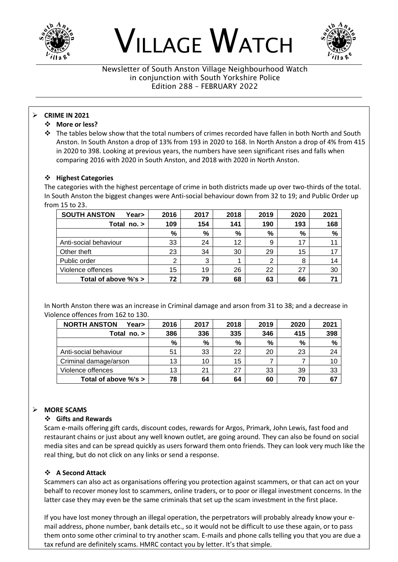





Newsletter of South Anston Village Neighbourhood Watch in conjunction with South Yorkshire Police Edition 288 – FEBRUARY 2022

#### ➢ **CRIME IN 2021**

- ❖ **More or less?**
- ❖ The tables below show that the total numbers of crimes recorded have fallen in both North and South Anston. In South Anston a drop of 13% from 193 in 2020 to 168. In North Anston a drop of 4% from 415 in 2020 to 398. Looking at previous years, the numbers have seen significant rises and falls when comparing 2016 with 2020 in South Anston, and 2018 with 2020 in North Anston.

#### ❖ **Highest Categories**

The categories with the highest percentage of crime in both districts made up over two-thirds of the total. In South Anston the biggest changes were Anti-social behaviour down from 32 to 19; and Public Order up from 15 to 23.

| <b>SOUTH ANSTON</b><br>Year> | 2016 | 2017 | 2018 | 2019 | 2020 | 2021 |
|------------------------------|------|------|------|------|------|------|
| Total no. >                  | 109  | 154  | 141  | 190  | 193  | 168  |
|                              | %    | %    | %    | %    | %    | %    |
| Anti-social behaviour        | 33   | 24   | 12   | 9    | 17   |      |
| Other theft                  | 23   | 34   | 30   | 29   | 15   | 17   |
| Public order                 | っ    | 3    |      | 2    | 8    | 14   |
| Violence offences            | 15   | 19   | 26   | 22   | 27   | 30   |
| Total of above %'s >         | 72   | 79   | 68   | 63   | 66   |      |

In North Anston there was an increase in Criminal damage and arson from 31 to 38; and a decrease in Violence offences from 162 to 130.

| <b>NORTH ANSTON</b><br>Year> | 2016 | 2017 | 2018          | 2019 | 2020 | 2021 |
|------------------------------|------|------|---------------|------|------|------|
| Total $no.$                  | 386  | 336  | 335           | 346  | 415  | 398  |
|                              | %    | %    | $\frac{9}{6}$ | %    | %    | $\%$ |
| Anti-social behaviour        | 51   | 33   | 22            | 20   | 23   | 24   |
| Criminal damage/arson        | 13   | 10   | 15            |      |      | 10   |
| Violence offences            | 13   | 21   | 27            | 33   | 39   | 33   |
| Total of above %'s >         | 78   | 64   | 64            | 60   | 70   |      |

## ➢ **MORE SCAMS**

#### ❖ **Gifts and Rewards**

Scam e-mails offering gift cards, discount codes, rewards for Argos, Primark, John Lewis, fast food and restaurant chains or just about any well known outlet, are going around. They can also be found on social media sites and can be spread quickly as users forward them onto friends. They can look very much like the real thing, but do not click on any links or send a response.

## ❖ **A Second Attack**

Scammers can also act as organisations offering you protection against scammers, or that can act on your behalf to recover money lost to scammers, online traders, or to poor or illegal investment concerns. In the latter case they may even be the same criminals that set up the scam investment in the first place.

If you have lost money through an illegal operation, the perpetrators will probably already know your email address, phone number, bank details etc., so it would not be difficult to use these again, or to pass them onto some other criminal to try another scam. E-mails and phone calls telling you that you are due a tax refund are definitely scams. HMRC contact you by letter. It's that simple.